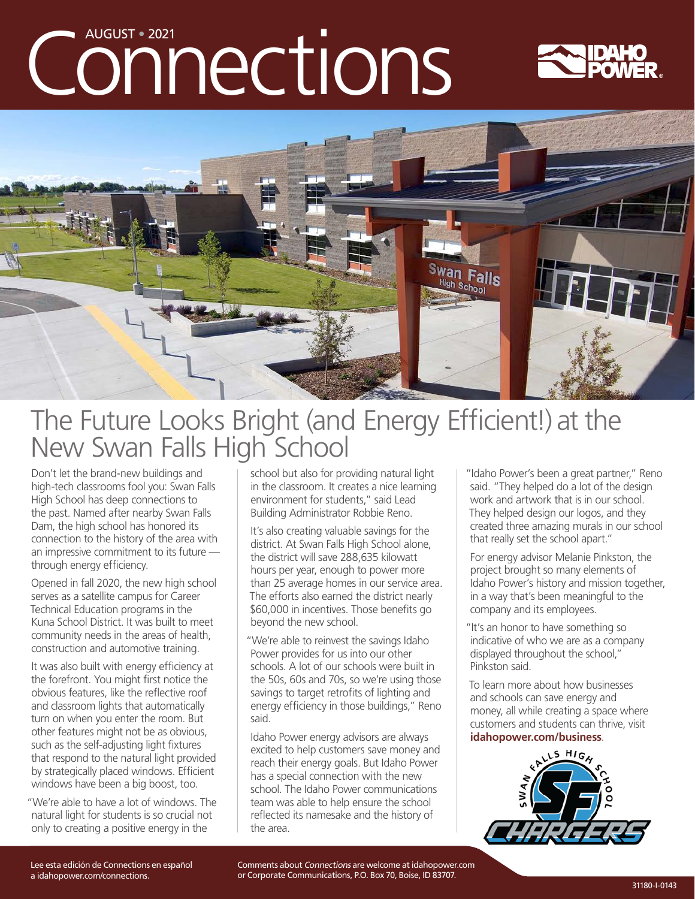# Connections





## The Future Looks Bright (and Energy Efficient!) at the New Swan Falls High School

Don't let the brand-new buildings and high-tech classrooms fool you: Swan Falls High School has deep connections to the past. Named after nearby Swan Falls Dam, the high school has honored its connection to the history of the area with an impressive commitment to its future through energy efficiency.

Opened in fall 2020, the new high school serves as a satellite campus for Career Technical Education programs in the Kuna School District. It was built to meet community needs in the areas of health, construction and automotive training.

It was also built with energy efficiency at the forefront. You might first notice the obvious features, like the reflective roof and classroom lights that automatically turn on when you enter the room. But other features might not be as obvious, such as the self-adjusting light fixtures that respond to the natural light provided by strategically placed windows. Efficient windows have been a big boost, too.

"We're able to have a lot of windows. The natural light for students is so crucial not only to creating a positive energy in the

school but also for providing natural light in the classroom. It creates a nice learning environment for students," said Lead Building Administrator Robbie Reno.

It's also creating valuable savings for the district. At Swan Falls High School alone, the district will save 288,635 kilowatt hours per year, enough to power more than 25 average homes in our service area. The efforts also earned the district nearly \$60,000 in incentives. Those benefits go beyond the new school.

"We're able to reinvest the savings Idaho Power provides for us into our other schools. A lot of our schools were built in the 50s, 60s and 70s, so we're using those savings to target retrofits of lighting and energy efficiency in those buildings," Reno said.

Idaho Power energy advisors are always excited to help customers save money and reach their energy goals. But Idaho Power has a special connection with the new school. The Idaho Power communications team was able to help ensure the school reflected its namesake and the history of the area.

"Idaho Power's been a great partner," Reno said. "They helped do a lot of the design work and artwork that is in our school. They helped design our logos, and they created three amazing murals in our school that really set the school apart."

For energy advisor Melanie Pinkston, the project brought so many elements of Idaho Power's history and mission together, in a way that's been meaningful to the company and its employees.

"It's an honor to have something so indicative of who we are as a company displayed throughout the school," Pinkston said.

To learn more about how businesses and schools can save energy and money, all while creating a space where customers and students can thrive, visit **idahopower.com/business**.



Comments about Connections are welcome at [idahopower.com](https://www.idahopower.com/) or Corporate Communications, P.O. Box 70, Boise, ID 83707.